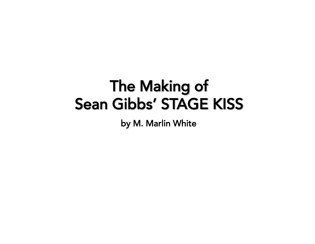# **The Making of Sean Gibbs' STAGE KISS**

by M. Marlin White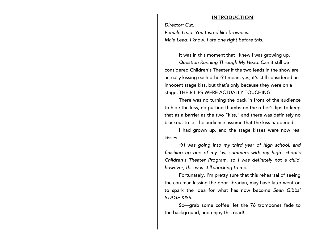#### INTRODUCTION

*Director: Cut.*

*Female Lead: You tasted like brownies. Male Lead: I know. I ate one right before this.*

It was in this moment that I knew I was growing up.

*Question Running Through My Head:* Can it still be considered Children's Theater if the two leads in the show are actually kissing each other? I mean, yes, it's still considered an innocent stage kiss, but that's only because they were on a stage. THEIR LIPS WERE ACTUALLY TOUCHING.

There was no turning the back in front of the audience to hide the kiss, no putting thumbs on the other's lips to keep that as a barrier as the two "kiss," and there was definitely no blackout to let the audience assume that the kiss happened.

I had grown up, and the stage kisses were now real kisses.

 $\rightarrow$ *I* was going into my third year of high school, and *finishing up one of my last summers with my high school's Children's Theater Program, so I was definitely not a child, however, this was still shocking to me.*

Fortunately, I'm pretty sure that this rehearsal of seeing the con man kissing the poor librarian, may have later went on to spark the idea for what has now become *Sean Gibbs' STAGE KISS*.

So—grab some coffee, let the 76 trombones fade to the background, and enjoy this read!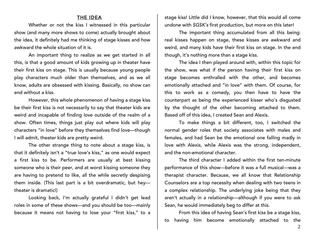# THE IDEA

Whether or not the kiss I witnessed in this particular show (and many more shows to come) actually brought about the idea, it definitely had me thinking of stage kisses and how awkward the whole situation of it is.

An important thing to realize as we get started in all this, is that a good amount of kids growing up in theater have their first kiss on stage. This is usually because young people play characters much older than themselves, and as we all know, adults are obsessed with kissing. Basically, no show can end without a kiss.

However, this whole phenomenon of having a stage kiss be their first kiss is not necessarily to say that theater kids are weird and incapable of finding love outside of the realm of a show. Often times, things just play out where kids will play characters "in love" before they themselves find love—though I will admit, theater kids are pretty weird.

The other strange thing to note about a stage kiss, is that it definitely isn't a "true love's kiss," as one would expect a first kiss to be. Performers are usually at best kissing someone who is their peer, and at worst kissing someone they are having to pretend to like, all the while secretly despising them inside. (This last part is a bit overdramatic, but hey theater is dramatic!)

Looking back, I'm actually grateful I didn't get lead roles in some of these shows—and you should be too—mainly because it means not having to lose your "first kiss," to a

stage kiss! Little did I know, however, that this would all come undone with *SGSK's* first production, but more on this later!

The important thing accumulated from all this being: real kisses happen on stage, these kisses are awkward and weird, and many kids have their first kiss on stage. In the end though, it's nothing more than a stage kiss.

The idea I then played around with, within this topic for the show, was what if the person having their first kiss on stage becomes enthralled with the other, and becomes emotionally attached and "in love" with them. Of course, for this to work as a comedy, you then have to have the counterpart as being the experienced kisser who's disgusted by the thought of the other becoming attached to them. Based off of this idea, I created Sean and Alexis.

To make things a bit different, too, I switched the normal gender roles that society associates with males and females, and had Sean be the emotional one falling madly in love with Alexis, while Alexis was the strong, independent, and the non-emotional character.

The third character I added within the first ten-minute performance of this show—before it was a full musical—was a therapist character. Because, we all know that Relationship Counselors are a top necessity when dealing with two teens in a complex relationship. The underlying joke being that they aren't actually in a relationship—although if you were to ask Sean, he would immediately beg to differ at this.

From this idea of having Sean's first kiss be a stage kiss, to having him become emotionally attached to the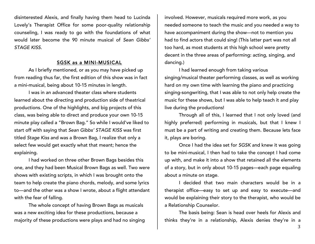disinterested Alexis, and finally having them head to Lucinda Lovely's Therapist Office for some poor-quality relationship counseling, I was ready to go with the foundations of what would later become the 90 minute musical of *Sean Gibbs' STAGE KISS.*

# SGSK as a MINI-MUSICAL

As I briefly mentioned, or as you may have picked up from reading thus far, the first edition of this show was in fact a mini-musical, being about 10-15 minutes in length.

I was in an advanced theater class where students learned about the directing and production side of theatrical productions. One of the highlights, and big projects of this class, was being able to direct and produce your own 10-15 minute play called a "Brown Bag." So while I would've liked to start off with saying that *Sean Gibbs' STAGE KISS* was first titled *Stage Kiss* and was a Brown Bag, I realize that only a select few would get exactly what that meant; hence the explaining.

I had worked on three other Brown Bags besides this one, and they had been Musical Brown Bags as well. Two were shows with existing scripts, in which I was brought onto the team to help create the piano chords, melody, and some lyrics to—and the other was a show I wrote, about a flight attendant with the fear of falling.

The whole concept of having Brown Bags as musicals was a new exciting idea for these productions, because a majority of these productions were plays and had no singing

involved. However, musicals required more work, as you needed someone to teach the music and you needed a way to have accompaniment during the show—not to mention you had to find actors that could sing! (This latter part was not all too hard, as most students at this high school were pretty decent in the three areas of performing: acting, singing, and dancing.)

I had learned enough from taking various singing/musical theater performing classes, as well as working hard on my own time with learning the piano and practicing singing-songwriting, that I was able to not only help create the music for these shows, but I was able to help teach it and play live during the productions!

Through all of this, I learned that I not only loved (and highly preferred) performing in musicals, but that I knew I must be a part of writing and creating them. Because lets face it, plays are boring.

Once I had the idea set for *SGSK* and knew it was going to be mini-musical, I then had to take the concept I had come up with, and make it into a show that retained all the elements of a story, but in only about 10-15 pages—each page equaling about a minute on stage.

I decided that two main characters would be in a therapist office—easy to set up and easy to execute—and would be explaining their story to the therapist, who would be a Relationship Counselor.

The basis being: Sean is head over heels for Alexis and thinks they're in a relationship, Alexis denies they're in a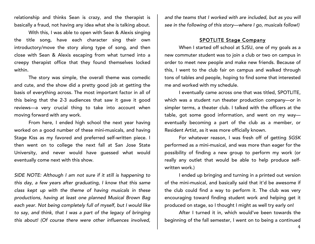relationship and thinks Sean is crazy, and the therapist is basically a fraud, not having any idea what she is talking about.

With this, I was able to open with Sean & Alexis singing the title song, have each character sing their own introductory/move the story along type of song, and then close with Sean & Alexis escaping from what turned into a creepy therapist office that they found themselves locked within.

The story was simple, the overall theme was comedic and cute, and the show did a pretty good job at getting the basis of everything across. The most important factor in all of this being that the 2-3 audiences that saw it gave it good reviews—a very crucial thing to take into account when moving forward with any work.

From here, I ended high school the next year having worked on a good number of these mini-musicals, and having Stage Kiss as my favored and preferred self-written piece. I then went on to college the next fall at San Jose State University, and never would have guessed what would eventually come next with this show.

*SIDE NOTE: Although I am not sure if it still is happening to this day, a few years after graduating, I know that this same class kept up with the theme of having musicals in these productions, having at least one planned Musical Brown Bag each year. Not being completely full of myself, but I would like to say, and think, that I was a part of the legacy of bringing this about! (Of course there were other influences involved,* 

*and the teams that I worked with are included, but as you will see in the following of this story—where I go, musicals follow!)*

# SPOTLITE Stage Company

When I started off school at SJSU, one of my goals as a new commuter student was to join a club or two on campus in order to meet new people and make new friends. Because of this, I went to the club fair on campus and walked through tons of tables and people, hoping to find some that interested me and worked with my schedule.

I eventually came across one that was titled, SPOTLITE, which was a student run theater production company—or in simpler terms, a theater club. I talked with the officers at the table, got some good information, and went on my way eventually becoming a part of the club as a member, or Resident Artist, as it was more officially known.

For whatever reason, I was fresh off of getting *SGSK* performed as a mini-musical, and was more than eager for the possibility of finding a new group to perform my work (or really any outlet that would be able to help produce selfwritten work.)

I ended up bringing and turning in a printed out version of the mini-musical, and basically said that it'd be awesome if the club could find a way to perform it. The club was very encouraging toward finding student work and helping get it produced on stage, so I thought I might as well try early on!

After I turned it in, which would've been towards the beginning of the fall semester, I went on to being a continued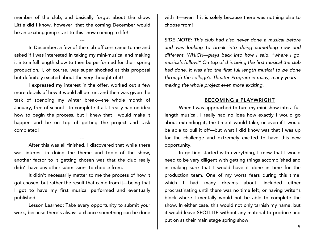member of the club, and basically forgot about the show. Little did I know, however, that the coming December would be an exciting jump-start to this show coming to life!

---

In December, a few of the club officers came to me and asked if I was interested in taking my mini-musical and making it into a full length show to then be performed for their spring production. I, of course, was super shocked at this proposal but definitely excited about the very thought of it!

I expressed my interest in the offer, worked out a few more details of how it would all be run, and then was given the task of spending my winter break—the whole month of January, free of school—to complete it all. I really had no idea how to begin the process, but I knew that I would make it happen and be on top of getting the project and task completed!

After this was all finished, I discovered that while there was interest in doing the theme and topic of the show, another factor to it getting chosen was that the club really didn't have any other submissions to choose from.

---

It didn't necessarily matter to me the process of how it got chosen, but rather the result that came from it—being that I got to have my first musical performed and eventually published!

Lesson Learned: Take every opportunity to submit your work, because there's always a chance something can be done with it—even if it is solely because there was nothing else to choose from!

*SIDE NOTE: This club had also never done a musical before and was looking to break into doing something new and different. WHICH—plays back into how I said, "where I go, musicals follow!" On top of this being the first musical the club had done, it was also the first full length musical to be done through the college's Theater Program in many, many years making the whole project even more exciting.*

#### BECOMING a PLAYWRIGHT

When I was approached to turn my mini-show into a full length musical, I really had no idea how exactly I would go about extending it, the time it would take, or even if I would be able to pull it off—but what I did know was that I was up for the challenge and extremely excited to have this new opportunity.

In getting started with everything, I knew that I would need to be very diligent with getting things accomplished and in making sure that I would have it done in time for the production team. One of my worst fears during this time, which I had many dreams about, included either procrastinating until there was no time left, or having writer's block where I mentally would not be able to complete the show. In either case, this would not only tarnish my name, but it would leave SPOTLITE without any material to produce and put on as their main stage spring show.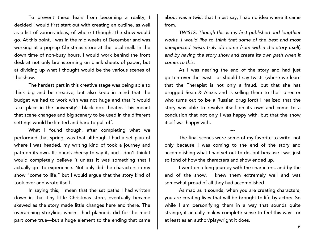To prevent these fears from becoming a reality, I decided I would first start out with creating an outline, as well as a list of various ideas, of where I thought the show would go. At this point, I was in the mid weeks of December and was working at a pop-up Christmas store at the local mall. In the down time of non-busy hours, I would work behind the front desk at not only brainstorming on blank sheets of paper, but at dividing up what I thought would be the various scenes of the show.

The hardest part in this creative stage was being able to think big and be creative, but also keep in mind that the budget we had to work with was not huge and that it would take place in the university's black box theater. This meant that scene changes and big scenery to be used in the different settings would be limited and hard to pull off.

What I found though, after completing what we performed that spring, was that although I had a set plan of where I was headed, my writing kind of took a journey and path on its own. It sounds cheesy to say it, and I don't think I would completely believe it unless it was something that I actually got to experience. Not only did the characters in my show "come to life," but I would argue that the story kind of took over and wrote itself.

In saying this, I mean that the set paths I had written down in that tiny little Christmas store, eventually became skewed as the story made little changes here and there. The overarching storyline, which I had planned, did for the most part come true—but a huge element to the ending that came

about was a twist that I must say, I had no idea where it came from.

*TWISTS: Though this is my first published and lengthier works, I would like to think that some of the best and most unexpected twists truly do come from within the story itself, and by having the story show and create its own path when it comes to this.*

As I was nearing the end of the story and had just gotten over the twist—or should I say twists (where we learn that the Therapist is not only a fraud, but that she has drugged Sean & Alexis and is selling them to their director who turns out to be a Russian drug lord) I realized that the story was able to resolve itself on its own and come to a conclusion that not only I was happy with, but that the show itself was happy with.

The final scenes were some of my favorite to write, not only because I was coming to the end of the story and accomplishing what I had set out to do, but because I was just so fond of how the characters and show ended up.

---

I went on a long journey with the characters, and by the end of the show, I knew them extremely well and was somewhat proud of all they had accomplished.

As mad as it sounds, when you are creating characters, you are creating lives that will be brought to life by actors. So while I am personifying them in a way that sounds quite strange, it actually makes complete sense to feel this way—or at least as an author/playwright it does.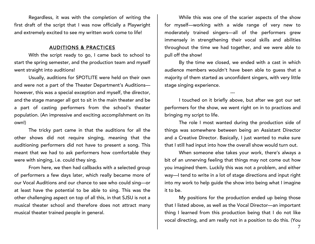Regardless, it was with the completion of writing the first draft of the script that I was now officially a Playwright and extremely excited to see my written work come to life!

# AUDITIONS & PRACTICES

With the script ready to go, I came back to school to start the spring semester, and the production team and myself went straight into auditions!

Usually, auditions for SPOTLITE were held on their own and were not a part of the Theater Department's Auditions however, this was a special exception and myself, the director, and the stage manager all got to sit in the main theater and be a part of casting performers from the school's theater population. (An impressive and exciting accomplishment on its own!)

The tricky part came in that the auditions for all the other shows did not require singing, meaning that the auditioning performers did not have to present a song. This meant that we had to ask performers how comfortable they were with singing, i.e. could they sing.

From here, we then had callbacks with a selected group of performers a few days later, which really became more of our Vocal Auditions and our chance to see who could sing—or at least have the potential to be able to sing. This was the other challenging aspect on top of all this, in that SJSU is not a musical theater school and therefore does not attract many musical theater trained people in general.

While this was one of the scarier aspects of the show for myself—working with a wide range of very new to moderately trained singers—all of the performers grew immensely in strengthening their vocal skills and abilities throughout the time we had together, and we were able to pull off the show!

By the time we closed, we ended with a cast in which audience members wouldn't have been able to guess that a majority of them started as unconfident singers, with very little stage singing experience.

I touched on it briefly above, but after we got our set performers for the show, we went right on in to practices and bringing my script to life.

---

The role I most wanted during the production side of things was somewhere between being an Assistant Director and a Creative Director. Basically, I just wanted to make sure that I still had input into how the overall show would turn out.

When someone else takes your work, there's always a bit of an unnerving feeling that things may not come out how you imagined them. Luckily this was not a problem, and either way—I tend to write in a lot of stage directions and input right into my work to help guide the show into being what I imagine it to be.

My positions for the production ended up being those that I listed above, as well as the Vocal Director—an important thing I learned from this production being that I do not like vocal directing, and am really not in a position to do this. (You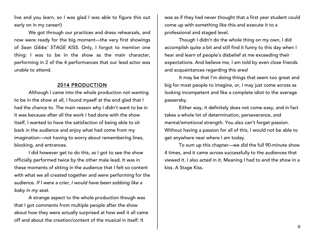live and you learn, so I was glad I was able to figure this out early on in my career!)

We got through our practices and dress rehearsals, and now were ready for the big moment—the very first showings of *Sean Gibbs' STAGE KISS*. Only, I forgot to mention one thing: I was to be in the show as the main character, performing in 2 of the 4 performances that our lead actor was unable to attend.

#### 2014 PRODUCTION

Although I came into the whole production not wanting to be in the show at all, I found myself at the end glad that I had the chance to. The main reason why I didn't want to be in it was because after all the work I had done with the show itself, I wanted to have the satisfaction of being able to sit back in the audience and enjoy what had come from my imagination—not having to worry about remembering lines, blocking, and entrances.

I did however get to do this, as I got to see the show officially performed twice by the other male lead. It was in these moments of sitting in the audience that I felt so content with what we all created together and were performing for the audience. *If I were a crier, I would have been sobbing like a baby in my seat.*

A strange aspect to the whole production though was that I got comments from multiple people after the show about how they were actually surprised at how well it all came off and about the creation/content of the musical in itself. It

was as if they had never thought that a first year student could come up with something like this and execute it to a professional and staged level.

Though I didn't do the whole thing on my own, I did accomplish quite a bit and still find it funny to this day when I hear and learn of people's disbelief at me exceeding their expectations. And believe me, I am told by even close friends and acquaintances regarding this area!

It may be that I'm doing things that seem too great and big for most people to imagine, or, I may just come across as looking incompetent and like a complete idiot to the average passersby.

Either way, it definitely does not come easy, and in fact takes a whole lot of determination, perseverance, and mental/emotional strength. You also can't forget passion. Without having a passion for all of this, I would not be able to get anywhere near where I am today.

To sum up this chapter—we did the full 90-minute show 4 times, and it came across successfully to the audiences that viewed it. I also acted in it. Meaning I had to end the show in a kiss. A Stage Kiss.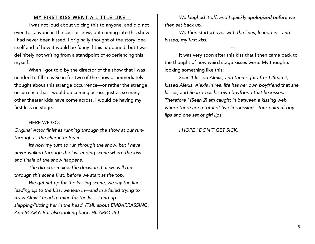# MY FIRST KISS WENT A LITTLE LIKE—

I was not loud about voicing this to anyone, and did not even tell anyone in the cast or crew, but coming into this show I had never been kissed. I originally thought of the story idea itself and of how it would be funny if this happened, but I was definitely not writing from a standpoint of experiencing this myself.

When I got told by the director of the show that I was needed to fill in as Sean for two of the shows, I immediately thought about this strange occurrence—or rather the strange occurrence that I would be coming across, just as so many other theater kids have come across. I would be having my first kiss on stage.

#### HERE WE GO:

*Original Actor finishes running through the show at our runthrough as the character Sean.* 

*Its now my turn to run through the show, but I have never walked through the last ending scene where the kiss and finale of the show happens.*

*The director makes the decision that we will run through this scene first, before we start at the top.*

*We get set up for the kissing scene, we say the lines leading up to the kiss, we lean in—and in a failed trying to draw Alexis' head to mine for the kiss, I end up slapping/hitting her in the head. (Talk about EMBARRASSING. And SCARY. But also looking back, HILARIOUS.)* 

*We laughed it off, and I quickly apologized before we then set back up.*

*We then started over with the lines, leaned in—and kissed; my first kiss.* 

It was very soon after this kiss that I then came back to the thought of how weird stage kisses were. My thoughts looking something like this:

---

*Sean 1 kissed Alexis, and then right after I (Sean 2) kissed Alexis. Alexis in real life has her own boyfriend that she kisses, and Sean 1 has his own boyfriend that he kisses. Therefore I (Sean 2) am caught in between a kissing web where there are a total of five lips kissing—four pairs of boy lips and one set of girl lips.* 

*I HOPE I DON'T GET SICK.*